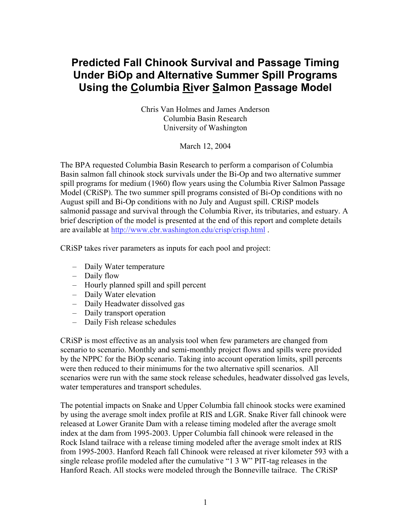## **Predicted Fall Chinook Survival and Passage Timing Under BiOp and Alternative Summer Spill Programs Using the Columbia River Salmon Passage Model**

Chris Van Holmes and James Anderson Columbia Basin Research University of Washington

March 12, 2004

The BPA requested Columbia Basin Research to perform a comparison of Columbia Basin salmon fall chinook stock survivals under the Bi-Op and two alternative summer spill programs for medium (1960) flow years using the Columbia River Salmon Passage Model (CRiSP). The two summer spill programs consisted of Bi-Op conditions with no August spill and Bi-Op conditions with no July and August spill. CRiSP models salmonid passage and survival through the Columbia River, its tributaries, and estuary. A brief description of the model is presented at the end of this report and complete details are available at http://www.cbr.washington.edu/crisp/crisp.html .

CRiSP takes river parameters as inputs for each pool and project:

- Daily Water temperature
- Daily flow
- Hourly planned spill and spill percent
- Daily Water elevation
- Daily Headwater dissolved gas
- Daily transport operation
- Daily Fish release schedules

CRiSP is most effective as an analysis tool when few parameters are changed from scenario to scenario. Monthly and semi-monthly project flows and spills were provided by the NPPC for the BiOp scenario. Taking into account operation limits, spill percents were then reduced to their minimums for the two alternative spill scenarios. All scenarios were run with the same stock release schedules, headwater dissolved gas levels, water temperatures and transport schedules.

The potential impacts on Snake and Upper Columbia fall chinook stocks were examined by using the average smolt index profile at RIS and LGR. Snake River fall chinook were released at Lower Granite Dam with a release timing modeled after the average smolt index at the dam from 1995-2003. Upper Columbia fall chinook were released in the Rock Island tailrace with a release timing modeled after the average smolt index at RIS from 1995-2003. Hanford Reach fall Chinook were released at river kilometer 593 with a single release profile modeled after the cumulative "1 3 W" PIT-tag releases in the Hanford Reach. All stocks were modeled through the Bonneville tailrace. The CRiSP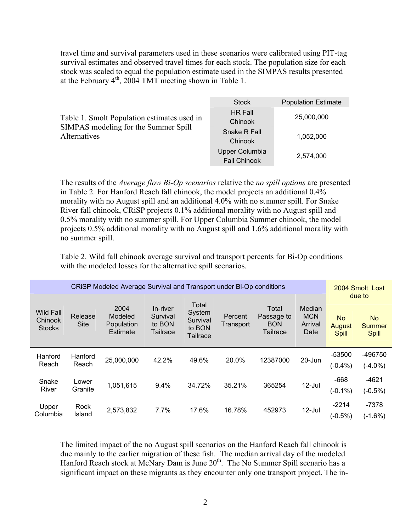travel time and survival parameters used in these scenarios were calibrated using PIT-tag survival estimates and observed travel times for each stock. The population size for each stock was scaled to equal the population estimate used in the SIMPAS results presented at the February  $4<sup>th</sup>$ , 2004 TMT meeting shown in Table 1.

|                                                      | <b>Stock</b>                          | <b>Population Estimate</b> |
|------------------------------------------------------|---------------------------------------|----------------------------|
| Table 1. Smolt Population estimates used in          | <b>HR Fall</b><br>Chinook             | 25,000,000                 |
| SIMPAS modeling for the Summer Spill<br>Alternatives | Snake R Fall<br>Chinook               | 1,052,000                  |
|                                                      | Upper Columbia<br><b>Fall Chinook</b> | 2,574,000                  |

The results of the *Average flow Bi-Op scenarios* relative the *no spill options* are presented in Table 2. For Hanford Reach fall chinook, the model projects an additional 0.4% morality with no August spill and an additional 4.0% with no summer spill. For Snake River fall chinook, CRiSP projects 0.1% additional morality with no August spill and 0.5% morality with no summer spill. For Upper Columbia Summer chinook, the model projects 0.5% additional morality with no August spill and 1.6% additional morality with no summer spill.

Table 2. Wild fall chinook average survival and transport percents for Bi-Op conditions with the modeled losses for the alternative spill scenarios.

| CRISP Modeled Average Survival and Transport under Bi-Op conditions |                        |                                           |                                                   |                                                          |                      |                                               | 2004 Smolt Lost                                |                                     |                                               |
|---------------------------------------------------------------------|------------------------|-------------------------------------------|---------------------------------------------------|----------------------------------------------------------|----------------------|-----------------------------------------------|------------------------------------------------|-------------------------------------|-----------------------------------------------|
| <b>Wild Fall</b><br>Chinook<br><b>Stocks</b>                        | Release<br><b>Site</b> | 2004<br>Modeled<br>Population<br>Estimate | In-river<br>Survival<br>to BON<br><b>Tailrace</b> | Total<br>System<br>Survival<br>to BON<br><b>Tailrace</b> | Percent<br>Transport | Total<br>Passage to<br><b>BON</b><br>Tailrace | <b>Median</b><br><b>MCN</b><br>Arrival<br>Date | <b>No</b><br>August<br><b>Spill</b> | due to<br><b>No</b><br><b>Summer</b><br>Spill |
| Hanford<br>Reach                                                    | Hanford<br>Reach       | 25,000,000                                | 42.2%                                             | 49.6%                                                    | 20.0%                | 12387000                                      | 20-Jun                                         | $-53500$<br>$(-0.4\%)$              | -496750<br>$(-4.0\%)$                         |
| Snake<br>River                                                      | Lower<br>Granite       | 1,051,615                                 | 9.4%                                              | 34.72%                                                   | 35.21%               | 365254                                        | $12$ -Jul                                      | $-668$<br>$(-0.1\%)$                | $-4621$<br>$(-0.5%)$                          |
| Upper<br>Columbia                                                   | Rock<br>Island         | 2,573,832                                 | 7.7%                                              | 17.6%                                                    | 16.78%               | 452973                                        | $12$ -Jul                                      | $-2214$<br>$(-0.5%)$                | $-7378$<br>$(-1.6%)$                          |

The limited impact of the no August spill scenarios on the Hanford Reach fall chinook is due mainly to the earlier migration of these fish. The median arrival day of the modeled Hanford Reach stock at McNary Dam is June 20<sup>th</sup>. The No Summer Spill scenario has a significant impact on these migrants as they encounter only one transport project. The in-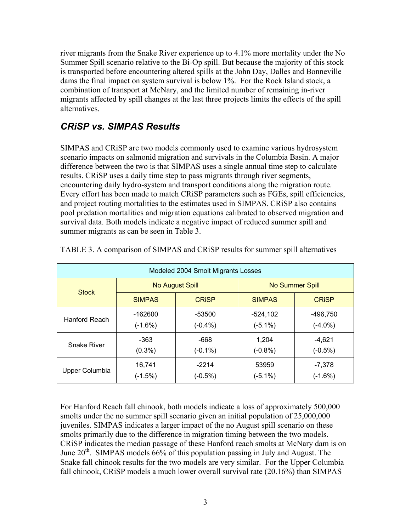river migrants from the Snake River experience up to 4.1% more mortality under the No Summer Spill scenario relative to the Bi-Op spill. But because the majority of this stock is transported before encountering altered spills at the John Day, Dalles and Bonneville dams the final impact on system survival is below 1%. For the Rock Island stock, a combination of transport at McNary, and the limited number of remaining in-river migrants affected by spill changes at the last three projects limits the effects of the spill alternatives.

## *CRiSP vs. SIMPAS Results*

SIMPAS and CRiSP are two models commonly used to examine various hydrosystem scenario impacts on salmonid migration and survivals in the Columbia Basin. A major difference between the two is that SIMPAS uses a single annual time step to calculate results. CRiSP uses a daily time step to pass migrants through river segments, encountering daily hydro-system and transport conditions along the migration route. Every effort has been made to match CRiSP parameters such as FGEs, spill efficiencies, and project routing mortalities to the estimates used in SIMPAS. CRiSP also contains pool predation mortalities and migration equations calibrated to observed migration and survival data. Both models indicate a negative impact of reduced summer spill and summer migrants as can be seen in Table 3.

| Modeled 2004 Smolt Migrants Losses |                 |              |                 |              |  |  |
|------------------------------------|-----------------|--------------|-----------------|--------------|--|--|
| <b>Stock</b>                       | No August Spill |              | No Summer Spill |              |  |  |
|                                    | <b>SIMPAS</b>   | <b>CRISP</b> | <b>SIMPAS</b>   | <b>CRISP</b> |  |  |
| Hanford Reach                      | -162600         | -53500       | $-524,102$      | -496,750     |  |  |
|                                    | $(-1.6%)$       | $(-0.4\%)$   | $(-5.1\%)$      | $(-4.0\%)$   |  |  |
| <b>Snake River</b>                 | -363            | -668         | 1,204           | $-4,621$     |  |  |
|                                    | $(0.3\%)$       | $(-0.1\%)$   | $(-0.8\%)$      | $(-0.5%)$    |  |  |
| Upper Columbia                     | 16,741          | $-2214$      | 53959           | $-7,378$     |  |  |
|                                    | $(-1.5%)$       | $(-0.5%)$    | $(-5.1\%)$      | $(-1.6%)$    |  |  |

TABLE 3. A comparison of SIMPAS and CRiSP results for summer spill alternatives

For Hanford Reach fall chinook, both models indicate a loss of approximately 500,000 smolts under the no summer spill scenario given an initial population of 25,000,000 juveniles. SIMPAS indicates a larger impact of the no August spill scenario on these smolts primarily due to the difference in migration timing between the two models. CRiSP indicates the median passage of these Hanford reach smolts at McNary dam is on June  $20<sup>th</sup>$ . SIMPAS models 66% of this population passing in July and August. The Snake fall chinook results for the two models are very similar. For the Upper Columbia fall chinook, CRiSP models a much lower overall survival rate (20.16%) than SIMPAS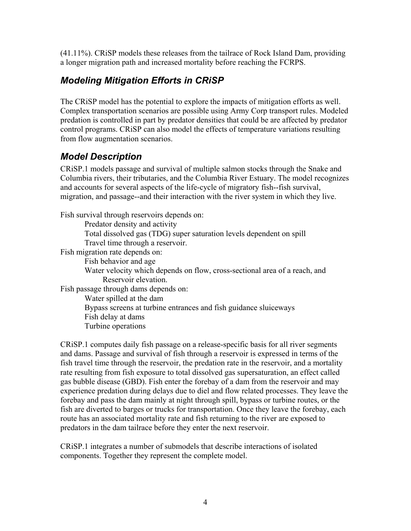(41.11%). CRiSP models these releases from the tailrace of Rock Island Dam, providing a longer migration path and increased mortality before reaching the FCRPS.

## *Modeling Mitigation Efforts in CRiSP*

The CRiSP model has the potential to explore the impacts of mitigation efforts as well. Complex transportation scenarios are possible using Army Corp transport rules. Modeled predation is controlled in part by predator densities that could be are affected by predator control programs. CRiSP can also model the effects of temperature variations resulting from flow augmentation scenarios.

## *Model Description*

CRiSP.1 models passage and survival of multiple salmon stocks through the Snake and Columbia rivers, their tributaries, and the Columbia River Estuary. The model recognizes and accounts for several aspects of the life-cycle of migratory fish--fish survival, migration, and passage--and their interaction with the river system in which they live.

Fish survival through reservoirs depends on:

Predator density and activity

Total dissolved gas (TDG) super saturation levels dependent on spill Travel time through a reservoir.

Fish migration rate depends on:

Fish behavior and age Water velocity which depends on flow, cross-sectional area of a reach, and Reservoir elevation. Fish passage through dams depends on: Water spilled at the dam Bypass screens at turbine entrances and fish guidance sluiceways Fish delay at dams

Turbine operations

CRiSP.1 computes daily fish passage on a release-specific basis for all river segments and dams. Passage and survival of fish through a reservoir is expressed in terms of the fish travel time through the reservoir, the predation rate in the reservoir, and a mortality rate resulting from fish exposure to total dissolved gas supersaturation, an effect called gas bubble disease (GBD). Fish enter the forebay of a dam from the reservoir and may experience predation during delays due to diel and flow related processes. They leave the forebay and pass the dam mainly at night through spill, bypass or turbine routes, or the fish are diverted to barges or trucks for transportation. Once they leave the forebay, each route has an associated mortality rate and fish returning to the river are exposed to predators in the dam tailrace before they enter the next reservoir.

CRiSP.1 integrates a number of submodels that describe interactions of isolated components. Together they represent the complete model.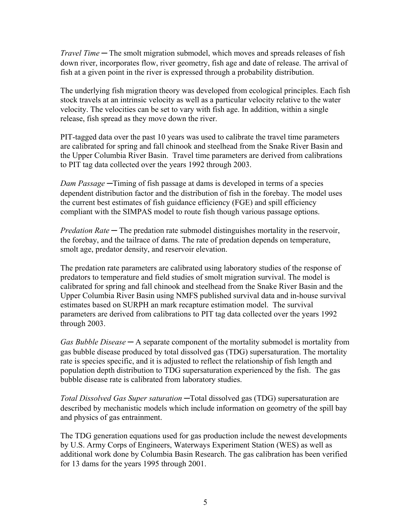*Travel Time ─* The smolt migration submodel, which moves and spreads releases of fish down river, incorporates flow, river geometry, fish age and date of release. The arrival of fish at a given point in the river is expressed through a probability distribution.

The underlying fish migration theory was developed from ecological principles. Each fish stock travels at an intrinsic velocity as well as a particular velocity relative to the water velocity. The velocities can be set to vary with fish age. In addition, within a single release, fish spread as they move down the river.

PIT-tagged data over the past 10 years was used to calibrate the travel time parameters are calibrated for spring and fall chinook and steelhead from the Snake River Basin and the Upper Columbia River Basin. Travel time parameters are derived from calibrations to PIT tag data collected over the years 1992 through 2003.

*Dam Passage ─*Timing of fish passage at dams is developed in terms of a species dependent distribution factor and the distribution of fish in the forebay. The model uses the current best estimates of fish guidance efficiency (FGE) and spill efficiency compliant with the SIMPAS model to route fish though various passage options.

*Predation Rate* — The predation rate submodel distinguishes mortality in the reservoir, the forebay, and the tailrace of dams. The rate of predation depends on temperature, smolt age, predator density, and reservoir elevation.

The predation rate parameters are calibrated using laboratory studies of the response of predators to temperature and field studies of smolt migration survival. The model is calibrated for spring and fall chinook and steelhead from the Snake River Basin and the Upper Columbia River Basin using NMFS published survival data and in-house survival estimates based on SURPH an mark recapture estimation model. The survival parameters are derived from calibrations to PIT tag data collected over the years 1992 through 2003.

*Gas Bubble Disease ─* A separate component of the mortality submodel is mortality from gas bubble disease produced by total dissolved gas (TDG) supersaturation. The mortality rate is species specific, and it is adjusted to reflect the relationship of fish length and population depth distribution to TDG supersaturation experienced by the fish. The gas bubble disease rate is calibrated from laboratory studies.

*Total Dissolved Gas Super saturation ─*Total dissolved gas (TDG) supersaturation are described by mechanistic models which include information on geometry of the spill bay and physics of gas entrainment.

The TDG generation equations used for gas production include the newest developments by U.S. Army Corps of Engineers, Waterways Experiment Station (WES) as well as additional work done by Columbia Basin Research. The gas calibration has been verified for 13 dams for the years 1995 through 2001.